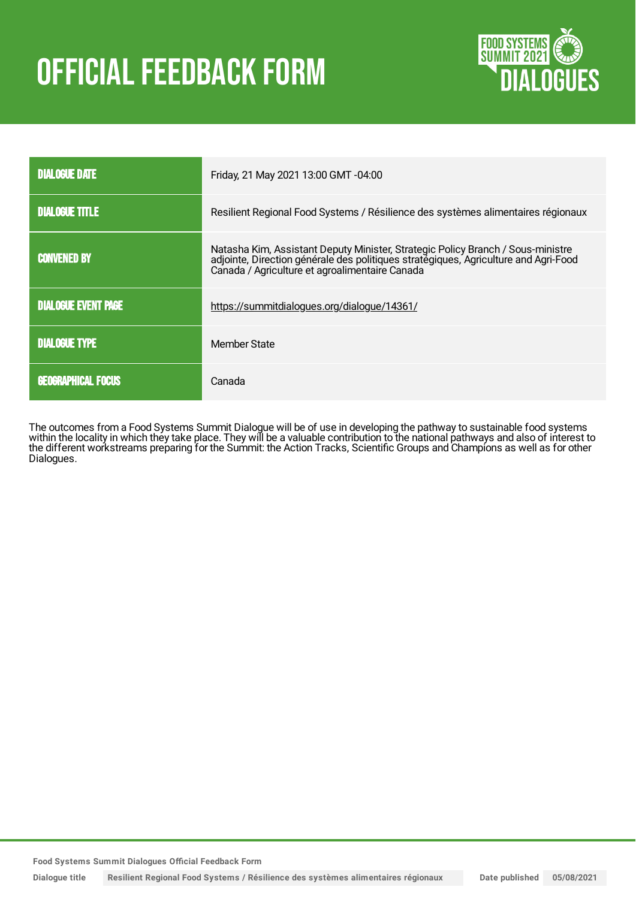# **OFFICIAL FEEDBACK FORM**



| <b>DIALOGUE DATE</b>       | Friday, 21 May 2021 13:00 GMT -04:00                                                                                                                                                                                     |
|----------------------------|--------------------------------------------------------------------------------------------------------------------------------------------------------------------------------------------------------------------------|
| <b>DIALOGUE TITLE</b>      | Resilient Regional Food Systems / Résilience des systèmes alimentaires régionaux                                                                                                                                         |
| <b>CONVENED BY</b>         | Natasha Kim, Assistant Deputy Minister, Strategic Policy Branch / Sous-ministre<br>adjointe, Direction générale des politiques stratégiques, Agriculture and Agri-Food<br>Canada / Agriculture et agroalimentaire Canada |
| <b>DIALOGUE EVENT PAGE</b> | https://summitdialogues.org/dialogue/14361/                                                                                                                                                                              |
| <b>DIALOGUE TYPE</b>       | Member State                                                                                                                                                                                                             |
| <b>GEOGRAPHICAL FOCUS</b>  | Canada                                                                                                                                                                                                                   |

The outcomes from a Food Systems Summit Dialogue will be of use in developing the pathway to sustainable food systems within the locality in which they take place. They will be a valuable contribution to the national pathways and also of interest to the different workstreams preparing for the Summit: the Action Tracks, Scientific Groups and Champions as well as for other Dialogues.

**Food Systems Summit Dialogues Official Feedback Form**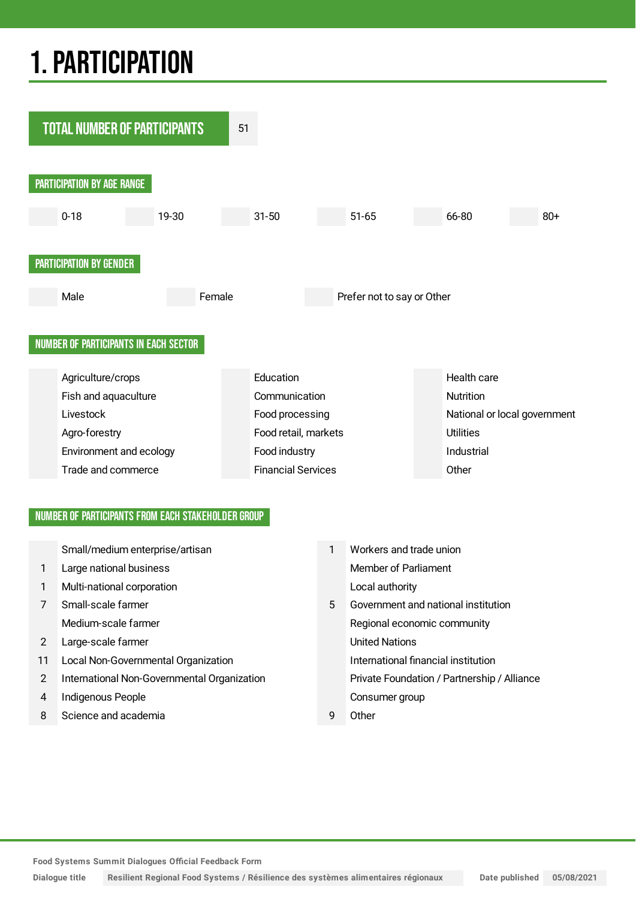# 1.PARTICIPATION



## NUMBER OF PARTICIPANTS FROM EACH STAKEHOLDER GROUP

|               | Small/medium enterprise/artisan             |   | Workers and trade union                     |
|---------------|---------------------------------------------|---|---------------------------------------------|
| 1             | Large national business                     |   | Member of Parliament                        |
| $\mathbf{1}$  | Multi-national corporation                  |   | Local authority                             |
| 7             | Small-scale farmer                          | 5 | Government and national institution         |
|               | Medium-scale farmer                         |   | Regional economic community                 |
| 2             | Large-scale farmer                          |   | <b>United Nations</b>                       |
| 11            | Local Non-Governmental Organization         |   | International financial institution         |
| $\mathcal{P}$ | International Non-Governmental Organization |   | Private Foundation / Partnership / Alliance |
| 4             | Indigenous People                           |   | Consumer group                              |
| 8             | Science and academia                        | q | Other                                       |

**Food Systems Summit Dialogues Official Feedback Form**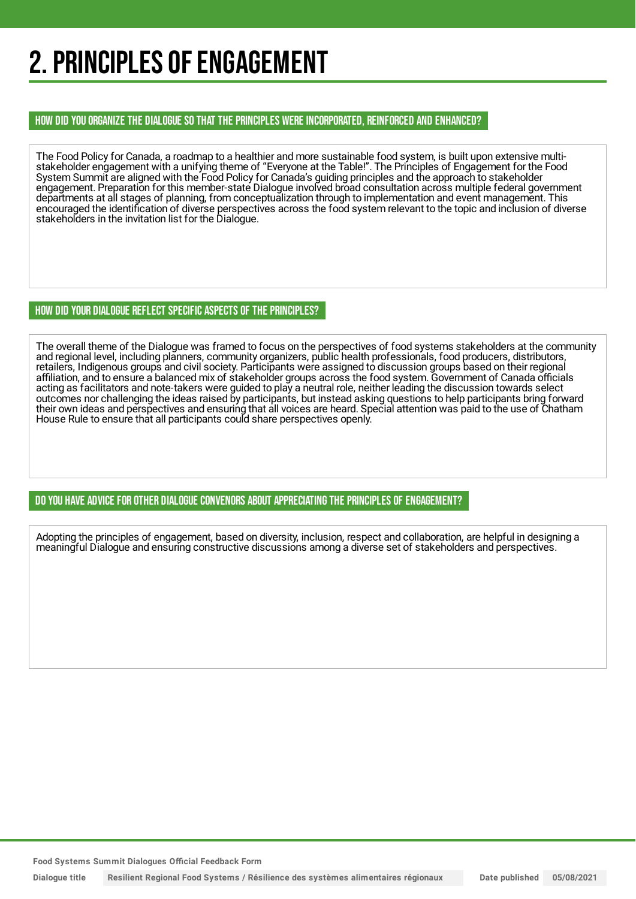# 2. PRINCIPLES OF ENGAGEMENT

HOW DID YOU ORGANIZE THE DIALOGUE SO THAT THE PRINCIPLES WERE INCORPORATED, REINFORCED AND ENHANCED?

The Food Policy for Canada, a roadmap to a healthier and more sustainable food system, is built upon extensive multistakeholder engagement with a unifying theme of "Everyone at the Table!". The Principles of Engagement for the Food System Summit are aligned with the Food Policy for Canada's guiding principles and the approach to stakeholder engagement. Preparation for this member-state Dialogue involved broad consultation across multiple federal government departments at all stages of planning, from conceptualization through to implementation and event management. This encouraged the identification of diverse perspectives across the food system relevant to the topic and inclusion of diverse stakeholders in the invitation list for the Dialogue.

## HOW DID YOUR DIALOGUE REFLECT SPECIFIC ASPECTS OF THE PRINCIPLES?

The overall theme of the Dialogue was framed to focus on the perspectives of food systems stakeholders at the community and regional level, including planners, community organizers, public health professionals, food producers, distributors, retailers, Indigenous groups and civil society. Participants were assigned to discussion groups based on their regional affiliation, and to ensure a balanced mix of stakeholder groups across the food system. Government of Canada officials acting as facilitators and note-takers were guided to play a neutral role, neither leading the discussion towards select outcomes nor challenging the ideas raised by participants, but instead asking questions to help participants bring forward their own ideas and perspectives and ensuring that all voices are heard. Special attention was paid to the use of Chatham House Rule to ensure that all participants could share perspectives openly.

DO YOU HAVE ADVICE FOR OTHER DIALOGUE CONVENORS ABOUT APPRECIATINGTHE PRINCIPLES OF ENGAGEMENT?

Adopting the principles of engagement, based on diversity, inclusion, respect and collaboration, are helpful in designing a meaningful Dialogue and ensuring constructive discussions among a diverse set of stakeholders and perspectives.

**Food Systems Summit Dialogues Official Feedback Form**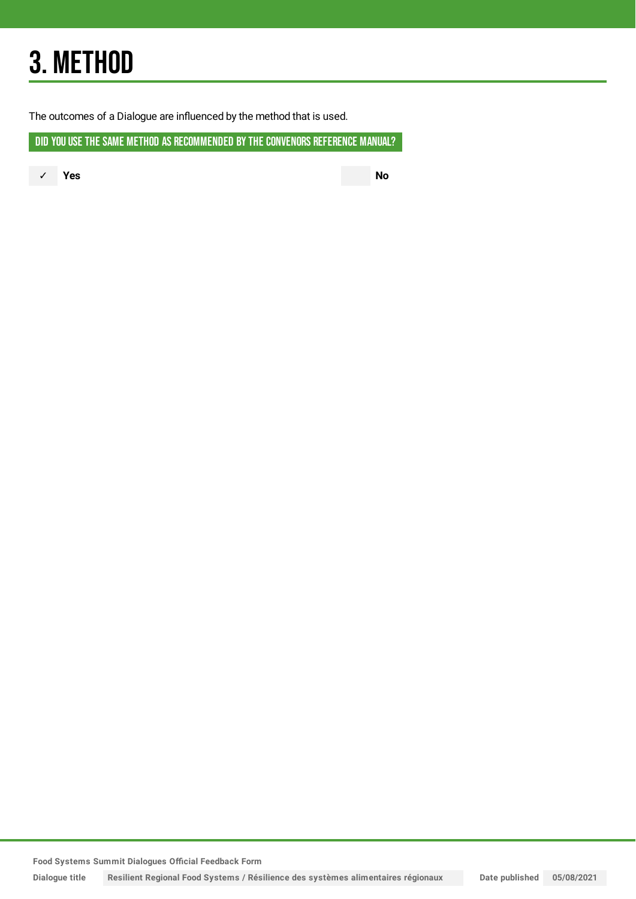# 3. METHOD

The outcomes of a Dialogue are influenced by the method that is used.

DID YOU USE THE SAME METHOD AS RECOMMENDED BY THE CONVENORS REFERENCE MANUAL?

✓ **Yes No**

**Food Systems Summit Dialogues Official Feedback Form**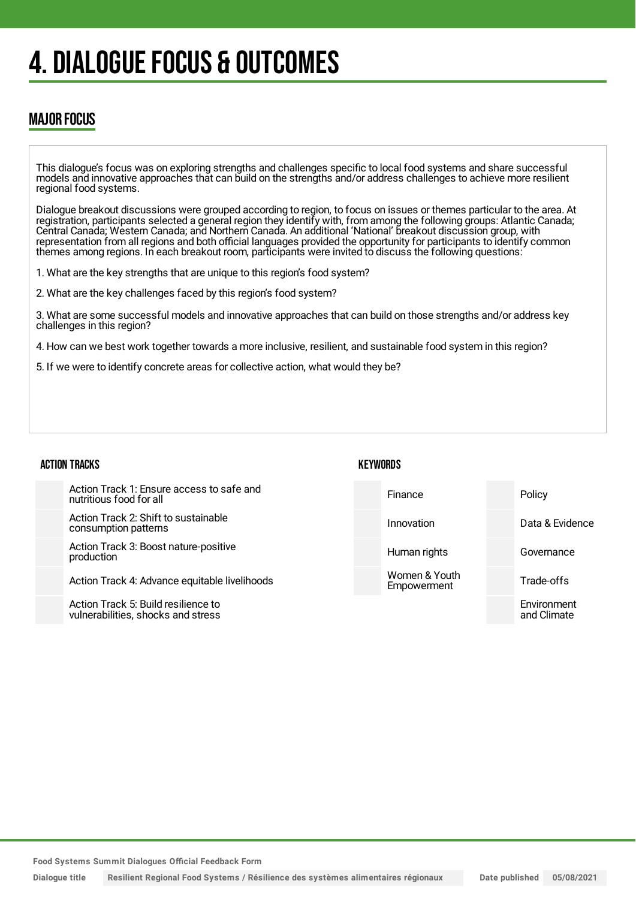# 4. DIALOGUE FOCUS & OUTCOMES

## MAJOR FOCUS

This dialogue's focus was on exploring strengths and challenges specific to local food systems and share successful models and innovative approaches that can build on the strengths and/or address challenges to achieve more resilient regional food systems.

Dialogue breakout discussions were grouped according to region, to focus on issues or themes particular to the area. At registration, participants selected a general region they identify with, from among the following groups: Atlantic Canada; Central Canada; Western Canada; and Northern Canada. An additional 'National' breakout discussion group, with representation from all regions and both official languages provided the opportunity for participants to identify common themes among regions. In each breakout room, participants were invited to discuss the following questions:

- 1. What are the key strengths that are unique to this region's food system?
- 2. What are the key challenges faced by this region's food system?

3. What are some successful models and innovative approaches that can build on those strengths and/or address key challenges in this region?

4. How can we best work together towards a more inclusive, resilient, and sustainable food system in this region?

5. If we were to identify concrete areas for collective action, what would they be?

### ACTION TRACKS

Action Track 1: Ensure access to safe and nutritious food for all

Action Track 2: Shift to sustainable consumption patterns

Action Track 3: Boost nature-positive production

Action Track 4: Advance equitable livelihoods

Action Track 5: Build resilience to vulnerabilities, shocks and stress

## **KFYWORDS**



**Food Systems Summit Dialogues Official Feedback Form**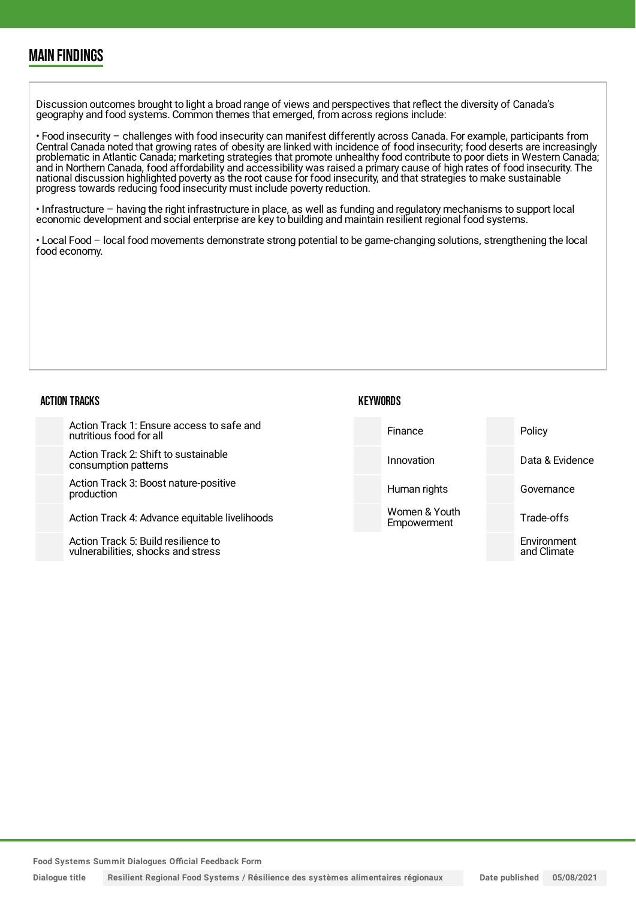## MAIN FINDINGS

Discussion outcomes brought to light a broad range of views and perspectives that reflect the diversity of Canada's geography and food systems. Common themes that emerged, from across regions include:

• Food insecurity – challenges with food insecurity can manifest differently across Canada. For example, participants from Central Canada noted that growing rates of obesity are linked with incidence of food insecurity; food deserts are increasingly problematic in Atlantic Canada; marketing strategies that promote unhealthy food contribute to poor diets in Western Canada; and in Northern Canada, food affordability and accessibility was raised a primary cause of high rates of food insecurity. The national discussion highlighted poverty as the root cause for food insecurity, and that strategies to make sustainable progress towards reducing food insecurity must include poverty reduction.

• Infrastructure – having the right infrastructure in place, as well as funding and regulatory mechanisms to support local economic development and social enterprise are key to building and maintain resilient regional food systems.

• Local Food – local food movements demonstrate strong potential to be game-changing solutions, strengthening the local food economy.

#### ACTION TRACKS Action Track 1: Ensure access to safe and nutritious food for all Action Track 2: Shift to sustainable consumption patterns Action Track 3: Boost nature-positive production Action Track 4: Advance equitable livelihoods Action Track 5: Build resilience to vulnerabilities, shocks and stress **KEYWORDS** Finance Policy Innovation Data & Evidence Human rights **Governance** Women & Youth **Empowerment** Trade-offs Environment and Climate

**Food Systems Summit Dialogues Official Feedback Form**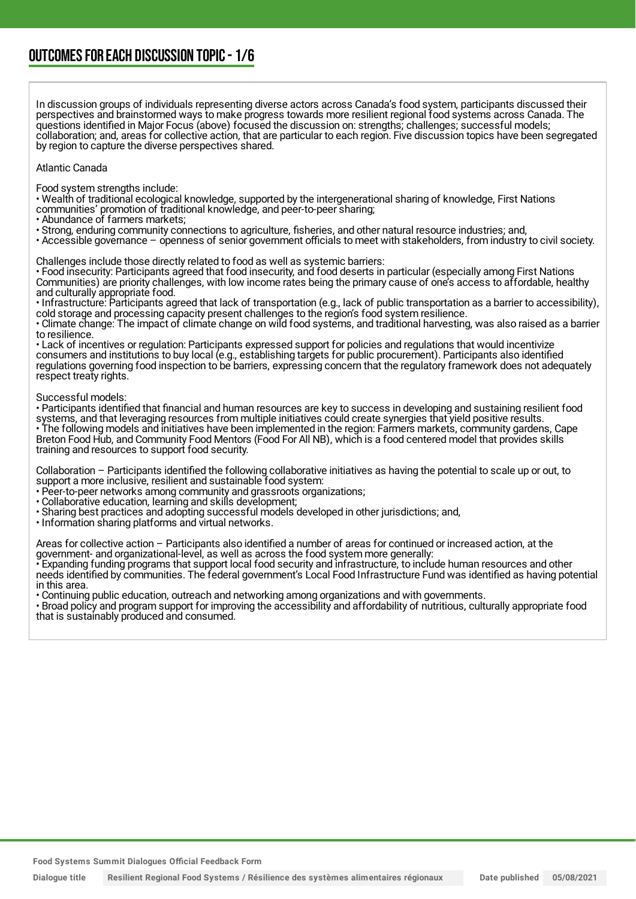In discussion groups of individuals representing diverse actors across Canada's food system, participants discussed their perspectives and brainstormed ways to make progress towards more resilient regional food systems across Canada. The questions identified in Major Focus (above) focused the discussion on: strengths; challenges; successful models; collaboration; and, areas for collective action, that are particular to each region. Five discussion topics have been segregated by region to capture the diverse perspectives shared.

#### Atlantic Canada

Food system strengths include:

• Wealth of traditional ecological knowledge, supported by the intergenerational sharing of knowledge, First Nations communities' promotion of traditional knowledge, and peer-to-peer sharing;

• Abundance of farmers markets;

• Strong, enduring community connections to agriculture, fisheries, and other natural resource industries; and,

• Accessible governance – openness of senior government officials to meet with stakeholders, from industry to civil society.

Challenges include those directly related to food as well as systemic barriers:

• Food insecurity: Participants agreed that food insecurity, and food deserts in particular (especially among First Nations Communities) are priority challenges, with low income rates being the primary cause of one's access to affordable, healthy and culturally appropriate food.

• Infrastructure: Participants agreed that lack of transportation (e.g., lack of public transportation as a barrier to accessibility), cold storage and processing capacity present challenges to the region's food system resilience.

• Climate change: The impact of climate change on wild food systems, and traditional harvesting, was also raised as a barrier to resilience.

• Lack of incentives or regulation: Participants expressed support for policies and regulations that would incentivize consumers and institutions to buy local (e.g., establishing targets for public procurement). Participants also identified regulations governing food inspection to be barriers, expressing concern that the regulatory framework does not adequately respect treaty rights.

#### Successful models:

• Participants identified that financial and human resources are key to success in developing and sustaining resilient food systems, and that leveraging resources from multiple initiatives could create synergies that yield positive results. • The following models and initiatives have been implemented in the region: Farmers markets, community gardens, Cape Breton Food Hub, and Community Food Mentors (Food For All NB), which is a food centered model that provides skills training and resources to support food security.

Collaboration – Participants identified the following collaborative initiatives as having the potential to scale up or out, to support a more inclusive, resilient and sustainable food system:

• Peer-to-peer networks among community and grassroots organizations;

- Collaborative education, learning and skills development;
- Sharing best practices and adopting successful models developed in other jurisdictions; and,
- Information sharing platforms and virtual networks.

Areas for collective action – Participants also identified a number of areas for continued or increased action, at the government- and organizational-level, as well as across the food system more generally:

• Expanding funding programs that support local food security and infrastructure, to include human resources and other needs identified by communities. The federal government's Local Food Infrastructure Fund was identified as having potential in this area.

• Continuing public education, outreach and networking among organizations and with governments.

• Broad policy and program support for improving the accessibility and affordability of nutritious, culturally appropriate food that is sustainably produced and consumed.

**Food Systems Summit Dialogues Official Feedback Form**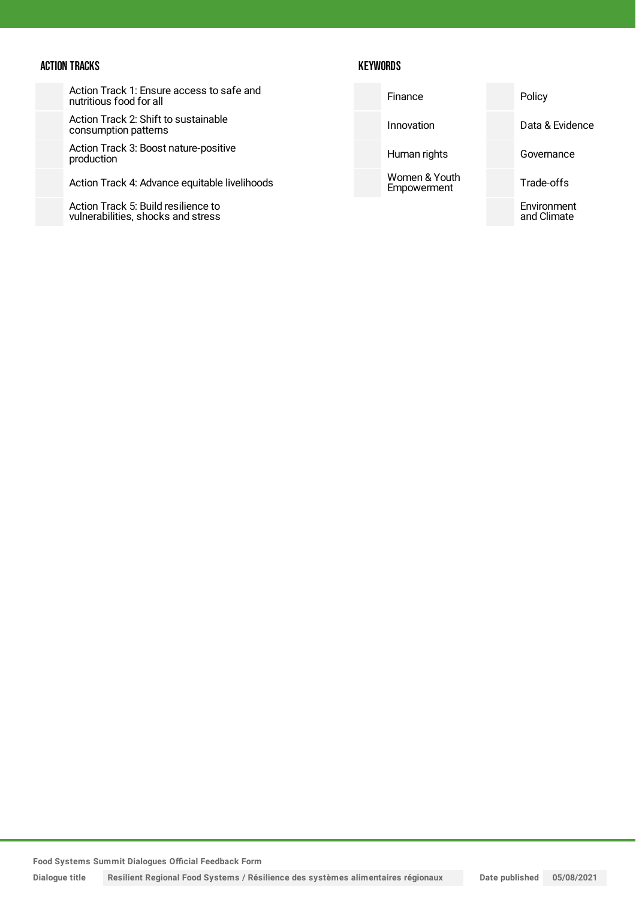### ACTION TRACKS

## **KEYWORDS**

| Action Track 1: Ensure access to safe and |  |
|-------------------------------------------|--|
| nutritious food for all                   |  |

Action Track 2: Shift to sustainable consumption patterns

Action Track 3: Boost nature-positive production

Action Track 4: Advance equitable livelihoods

Action Track 5: Build resilience to vulnerabilities, shocks and stress

| Finance                      | Policy                     |
|------------------------------|----------------------------|
| Innovation                   | Data & Evidence            |
| Human rights                 | Governance                 |
| Women & Youth<br>Empowerment | Trade-offs                 |
|                              | Environment<br>and Climate |

**Food Systems Summit Dialogues Official Feedback Form**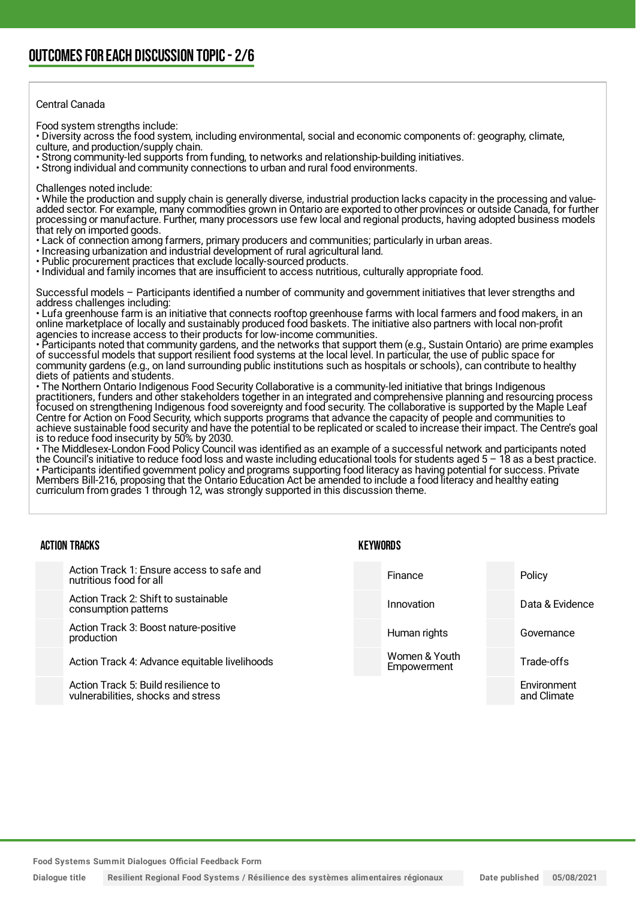#### Central Canada

Food system strengths include:

• Diversity across the food system, including environmental, social and economic components of: geography, climate, culture, and production/supply chain.

• Strong community-led supports from funding, to networks and relationship-building initiatives.

• Strong individual and community connections to urban and rural food environments.

Challenges noted include:

• While the production and supply chain is generally diverse, industrial production lacks capacity in the processing and valueadded sector. For example, many commodities grown in Ontario are exported to other provinces or outside Canada, for further processing or manufacture. Further, many processors use few local and regional products, having adopted business models that rely on imported goods.

- Lack of connection among farmers, primary producers and communities; particularly in urban areas.
- Increasing urbanization and industrial development of rural agricultural land.
- Public procurement practices that exclude locally-sourced products.

• Individual and family incomes that are insufficient to access nutritious, culturally appropriate food.

Successful models – Participants identified a number of community and government initiatives that lever strengths and address challenges including:

• Lufa greenhouse farm is an initiative that connects rooftop greenhouse farms with local farmers and food makers, in an online marketplace of locally and sustainably produced food baskets. The initiative also partners with local non-profit agencies to increase access to their products for low-income communities.

• Participants noted that community gardens, and the networks that support them (e.g., Sustain Ontario) are prime examples of successful models that support resilient food systems at the local level. In particular, the use of public space for community gardens (e.g., on land surrounding public institutions such as hospitals or schools), can contribute to healthy diets of patients and students.

• The Northern Ontario Indigenous Food Security Collaborative is a community-led initiative that brings Indigenous practitioners, funders and other stakeholders together in an integrated and comprehensive planning and resourcing process focused on strengthening Indigenous food sovereignty and food security. The collaborative is supported by the Maple Leaf Centre for Action on Food Security, which supports programs that advance the capacity of people and communities to achieve sustainable food security and have the potential to be replicated or scaled to increase their impact. The Centre's goal is to reduce food insecurity by 50% by 2030.

• The Middlesex-London Food Policy Council was identified as an example of a successful network and participants noted the Council's initiative to reduce food loss and waste including educational tools for students aged 5 – 18 as a best practice. • Participants identified government policy and programs supporting food literacy as having potential for success. Private Members Bill-216, proposing that the Ontario Education Act be amended to include a food literacy and healthy eating curriculum from grades 1 through 12, was strongly supported in this discussion theme.

| <b>ACTION TRACKS</b> |                                                                           | KEYWORDS                     |  |                            |
|----------------------|---------------------------------------------------------------------------|------------------------------|--|----------------------------|
|                      | Action Track 1: Ensure access to safe and<br>nutritious food for all      | Finance                      |  | Policy                     |
|                      | Action Track 2: Shift to sustainable<br>consumption patterns              | Innovation                   |  | Data & Evidence            |
|                      | Action Track 3: Boost nature-positive<br>production                       | Human rights                 |  | Governance                 |
|                      | Action Track 4: Advance equitable livelihoods                             | Women & Youth<br>Empowerment |  | Trade-offs                 |
|                      | Action Track 5: Build resilience to<br>vulnerabilities, shocks and stress |                              |  | Environment<br>and Climate |

**Food Systems Summit Dialogues Official Feedback Form**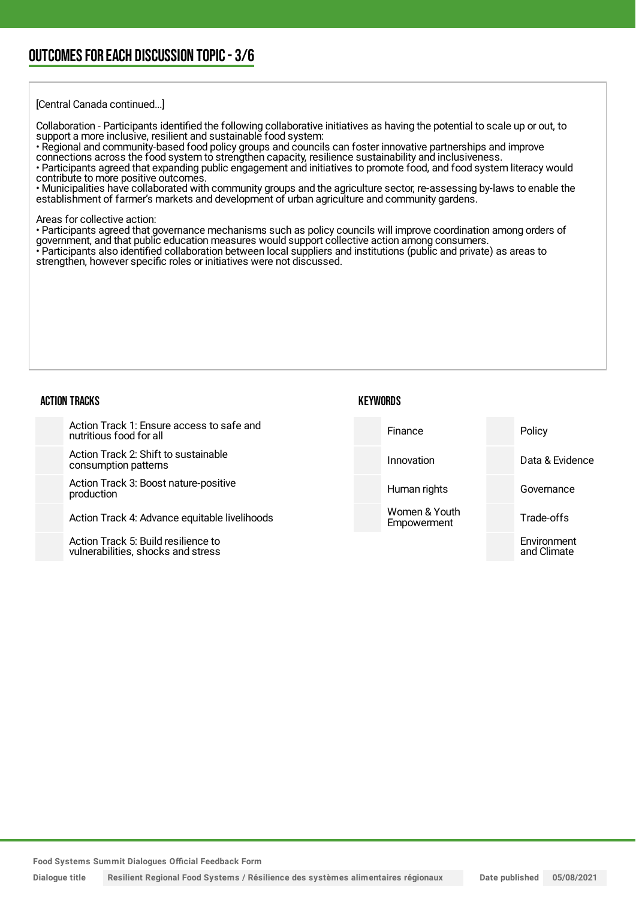## OUTCOMESFOR EACH DISCUSSION TOPIC- 3/6

[Central Canada continued...]

Collaboration - Participants identified the following collaborative initiatives as having the potential to scale up or out, to support a more inclusive, resilient and sustainable food system:

• Regional and community-based food policy groups and councils can foster innovative partnerships and improve connections across the food system to strengthen capacity, resilience sustainability and inclusiveness.

• Participants agreed that expanding public engagement and initiatives to promote food, and food system literacy would contribute to more positive outcomes.

• Municipalities have collaborated with community groups and the agriculture sector, re-assessing by-laws to enable the establishment of farmer's markets and development of urban agriculture and community gardens.

Areas for collective action:

• Participants agreed that governance mechanisms such as policy councils will improve coordination among orders of government, and that public education measures would support collective action among consumers. • Participants also identified collaboration between local suppliers and institutions (public and private) as areas to strengthen, however specific roles or initiatives were not discussed.

#### ACTION TRACKS

#### **KEYWORDS**

| Action Track 1: Ensure access to safe and<br>nutritious food for all | Finance                      | Policy          |
|----------------------------------------------------------------------|------------------------------|-----------------|
| Action Track 2: Shift to sustainable<br>consumption patterns         | Innovation                   | Data & Evidence |
| Action Track 3: Boost nature-positive<br>production                  | Human rights                 | Governance      |
| Action Track 4: Advance equitable livelihoods                        | Women & Youth<br>Empowerment | Trade-offs      |
| Action Track 5: Build resilience to                                  |                              | Environment     |

**Food Systems Summit Dialogues Official Feedback Form**

vulnerabilities, shocks and stress

Dialogue title Resilient Regional Food Systems / Résilience des systèmes alimentaires régionaux Date published 05/08/2021

and Climate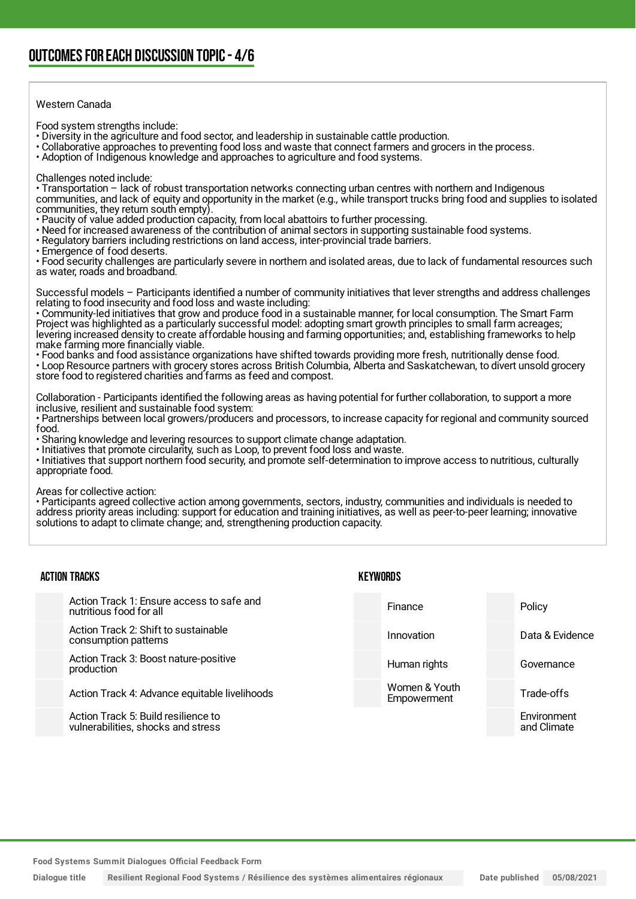### Western Canada

Food system strengths include:

- Diversity in the agriculture and food sector, and leadership in sustainable cattle production.
- Collaborative approaches to preventing food loss and waste that connect farmers and grocers in the process.

• Adoption of Indigenous knowledge and approaches to agriculture and food systems.

Challenges noted include:

• Transportation – lack of robust transportation networks connecting urban centres with northern and Indigenous communities, and lack of equity and opportunity in the market (e.g., while transport trucks bring food and supplies to isolated communities, they return south empty).

- Paucity of value added production capacity, from local abattoirs to further processing.
- Need for increased awareness of the contribution of animal sectors in supporting sustainable food systems.
- Regulatory barriers including restrictions on land access, inter-provincial trade barriers.
- Emergence of food deserts.

• Food security challenges are particularly severe in northern and isolated areas, due to lack of fundamental resources such as water, roads and broadband.

Successful models – Participants identified a number of community initiatives that lever strengths and address challenges relating to food insecurity and food loss and waste including:

• Community-led initiatives that grow and produce food in a sustainable manner, for local consumption. The Smart Farm Project was highlighted as a particularly successful model: adopting smart growth principles to small farm acreages; levering increased density to create affordable housing and farming opportunities; and, establishing frameworks to help make farming more financially viable.

• Food banks and food assistance organizations have shifted towards providing more fresh, nutritionally dense food.

• Loop Resource partners with grocery stores across British Columbia, Alberta and Saskatchewan, to divert unsold grocery store food to registered charities and farms as feed and compost.

Collaboration - Participants identified the following areas as having potential for further collaboration, to support a more inclusive, resilient and sustainable food system:

• Partnerships between local growers/producers and processors, to increase capacity for regional and community sourced food.

• Sharing knowledge and levering resources to support climate change adaptation.

• Initiatives that promote circularity, such as Loop, to prevent food loss and waste.

• Initiatives that support northern food security, and promote self-determination to improve access to nutritious, culturally appropriate food.

Areas for collective action:

• Participants agreed collective action among governments, sectors, industry, communities and individuals is needed to address priority areas including: support for education and training initiatives, as well as peer-to-peer learning; innovative solutions to adapt to climate change; and, strengthening production capacity.

| <b>ACTION TRACKS</b>                                                      |  | <b>KEYWORDS</b>              |  |                            |
|---------------------------------------------------------------------------|--|------------------------------|--|----------------------------|
| Action Track 1: Ensure access to safe and<br>nutritious food for all      |  | Finance                      |  | Policy                     |
| Action Track 2: Shift to sustainable<br>consumption patterns              |  | Innovation                   |  | Data & Evidence            |
| Action Track 3: Boost nature-positive<br>production                       |  | Human rights                 |  | Governance                 |
| Action Track 4: Advance equitable livelihoods                             |  | Women & Youth<br>Empowerment |  | Trade-offs                 |
| Action Track 5: Build resilience to<br>vulnerabilities, shocks and stress |  |                              |  | Environment<br>and Climate |

**Food Systems Summit Dialogues Official Feedback Form**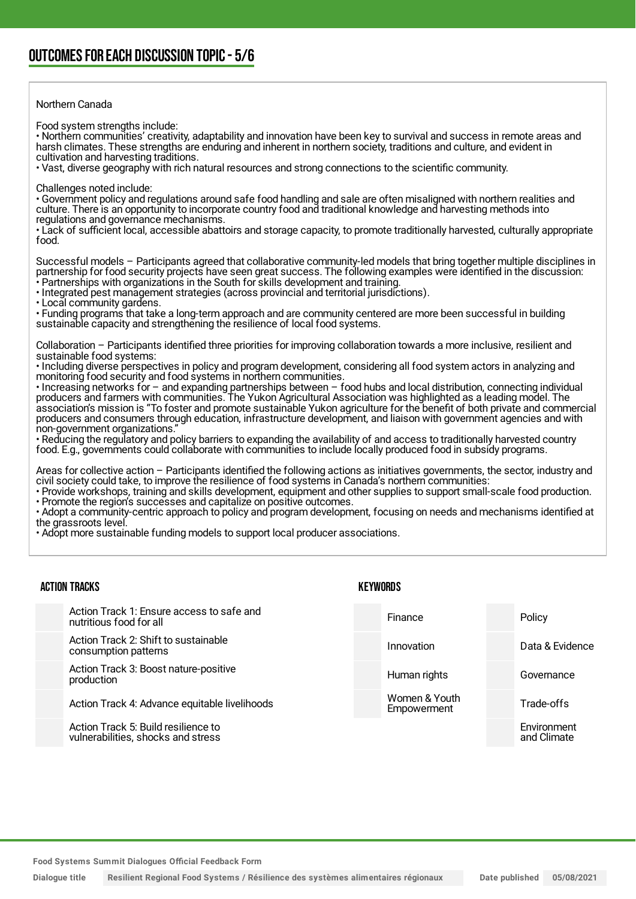### Northern Canada

Food system strengths include:

• Northern communities' creativity, adaptability and innovation have been key to survival and success in remote areas and harsh climates. These strengths are enduring and inherent in northern society, traditions and culture, and evident in cultivation and harvesting traditions.

• Vast, diverse geography with rich natural resources and strong connections to the scientific community.

Challenges noted include:

• Government policy and regulations around safe food handling and sale are often misaligned with northern realities and culture. There is an opportunity to incorporate country food and traditional knowledge and harvesting methods into regulations and governance mechanisms.

• Lack of sufficient local, accessible abattoirs and storage capacity, to promote traditionally harvested, culturally appropriate food.

Successful models – Participants agreed that collaborative community-led models that bring together multiple disciplines in partnership for food security projects have seen great success. The following examples were identified in the discussion: • Partnerships with organizations in the South for skills development and training.

• Integrated pest management strategies (across provincial and territorial jurisdictions).

• Local community gardens.

• Funding programs that take a long-term approach and are community centered are more been successful in building sustainable capacity and strengthening the resilience of local food systems.

Collaboration – Participants identified three priorities for improving collaboration towards a more inclusive, resilient and sustainable food systems:

• Including diverse perspectives in policy and program development, considering all food system actors in analyzing and monitoring food security and food systems in northern communities.

• Increasing networks for – and expanding partnerships between – food hubs and local distribution, connecting individual producers and farmers with communities. The Yukon Agricultural Association was highlighted as a leading model. The association's mission is "To foster and promote sustainable Yukon agriculture for the benefit of both private and commercial producers and consumers through education, infrastructure development, and liaison with government agencies and with non-government organizations.

• Reducing the regulatory and policy barriers to expanding the availability of and access to traditionally harvested country food. E.g., governments could collaborate with communities to include locally produced food in subsidy programs.

Areas for collective action – Participants identified the following actions as initiatives governments, the sector, industry and civil society could take, to improve the resilience of food systems in Canada's northern communities:

• Provide workshops, training and skills development, equipment and other supplies to support small-scale food production. • Promote the region's successes and capitalize on positive outcomes.

• Adopt a community-centric approach to policy and program development, focusing on needs and mechanisms identified at the grassroots level.

• Adopt more sustainable funding models to support local producer associations.

#### ACTION TRACKS Action Track 1: Ensure access to safe and nutritious food for all Action Track 2: Shift to sustainable consumption patterns Action Track 3: Boost nature-positive production Action Track 4: Advance equitable livelihoods Action Track 5: Build resilience to vulnerabilities, shocks and stress KEYWORDS Finance Policy Innovation Data & Evidence Human rights **Governance** Women & Youth **Empowerment** Trade-offs **Environment** and Climate

**Food Systems Summit Dialogues Official Feedback Form**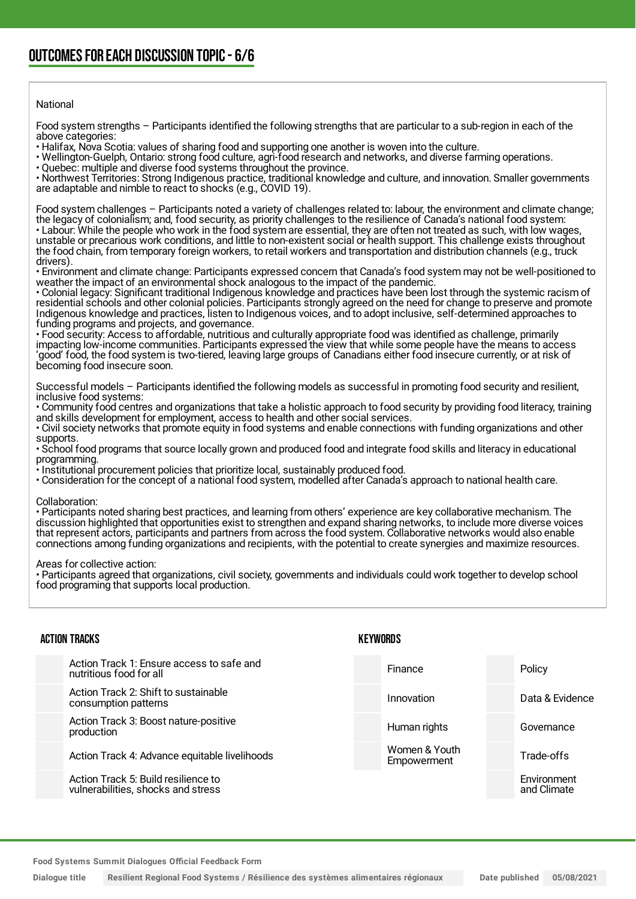### National

Food system strengths – Participants identified the following strengths that are particular to a sub-region in each of the above categories:

• Halifax, Nova Scotia: values of sharing food and supporting one another is woven into the culture.

• Wellington-Guelph, Ontario: strong food culture, agri-food research and networks, and diverse farming operations.

• Quebec: multiple and diverse food systems throughout the province.

• Northwest Territories: Strong Indigenous practice, traditional knowledge and culture, and innovation. Smaller governments are adaptable and nimble to react to shocks (e.g., COVID 19).

Food system challenges – Participants noted a variety of challenges related to: labour, the environment and climate change; the legacy of colonialism; and, food security, as priority challenges to the resilience of Canada's national food system: • Labour: While the people who work in the food system are essential, they are often not treated as such, with low wages, unstable or precarious work conditions, and little to non-existent social or health support. This challenge exists throughout the food chain, from temporary foreign workers, to retail workers and transportation and distribution channels (e.g., truck drivers).

• Environment and climate change: Participants expressed concern that Canada's food system may not be well-positioned to weather the impact of an environmental shock analogous to the impact of the pandemic.

• Colonial legacy: Significant traditional Indigenous knowledge and practices have been lost through the systemic racism of residential schools and other colonial policies. Participants strongly agreed on the need for change to preserve and promote Indigenous knowledge and practices, listen to Indigenous voices, and to adopt inclusive, self-determined approaches to funding programs and projects, and governance.

• Food security: Access to affordable, nutritious and culturally appropriate food was identified as challenge, primarily impacting low-income communities. Participants expressed the view that while some people have the means to access 'good' food, the food system is two-tiered, leaving large groups of Canadians either food insecure currently, or at risk of becoming food insecure soon.

Successful models – Participants identified the following models as successful in promoting food security and resilient, inclusive food systems:

• Community food centres and organizations that take a holistic approach to food security by providing food literacy, training and skills development for employment, access to health and other social services.

• Civil society networks that promote equity in food systems and enable connections with funding organizations and other supports.

• School food programs that source locally grown and produced food and integrate food skills and literacy in educational programming.

• Institutional procurement policies that prioritize local, sustainably produced food.

• Consideration for the concept of a national food system, modelled after Canada's approach to national health care.

Collaboration:

• Participants noted sharing best practices, and learning from others' experience are key collaborative mechanism. The discussion highlighted that opportunities exist to strengthen and expand sharing networks, to include more diverse voices that represent actors, participants and partners from across the food system. Collaborative networks would also enable connections among funding organizations and recipients, with the potential to create synergies and maximize resources.

Areas for collective action:

• Participants agreed that organizations, civil society, governments and individuals could work together to develop school food programing that supports local production.

| <b>ACTION TRACKS</b> |                                                                           | KEYWORDS |                              |  |                            |
|----------------------|---------------------------------------------------------------------------|----------|------------------------------|--|----------------------------|
|                      | Action Track 1: Ensure access to safe and<br>nutritious food for all      |          | Finance                      |  | Policy                     |
|                      | Action Track 2: Shift to sustainable<br>consumption patterns              |          | Innovation                   |  | Data & Evidence            |
|                      | Action Track 3: Boost nature-positive<br>production                       |          | Human rights                 |  | Governance                 |
|                      | Action Track 4: Advance equitable livelihoods                             |          | Women & Youth<br>Empowerment |  | Trade-offs                 |
|                      | Action Track 5: Build resilience to<br>vulnerabilities, shocks and stress |          |                              |  | Environment<br>and Climate |
|                      |                                                                           |          |                              |  |                            |

**Food Systems Summit Dialogues Official Feedback Form**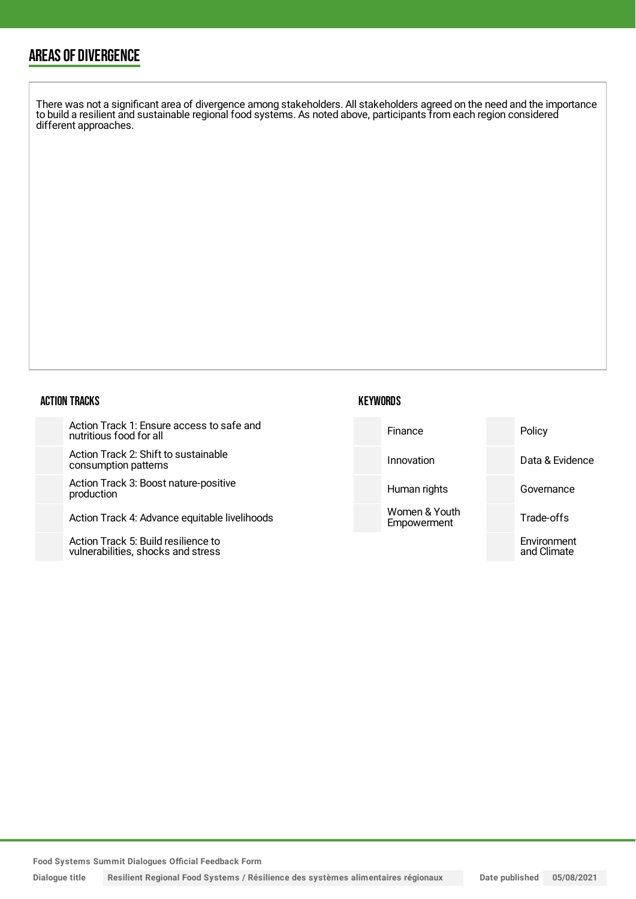## AREAS OF DIVERGENCE

There was not a significant area of divergence among stakeholders. All stakeholders agreed on the need and the importance to build a resilient and sustainable regional food systems. As noted above, participants from each region considered different approaches.

### ACTION TRACKS

| Action Track 1: Ensure access to safe and |  |
|-------------------------------------------|--|
| nutritious food for all                   |  |

Action Track 2: Shift to sustainable consumption patterns

Action Track 3: Boost nature-positive production

Action Track 4: Advance equitable livelihoods

Action Track 5: Build resilience to vulnerabilities, shocks and stress



**KEYWORDS**